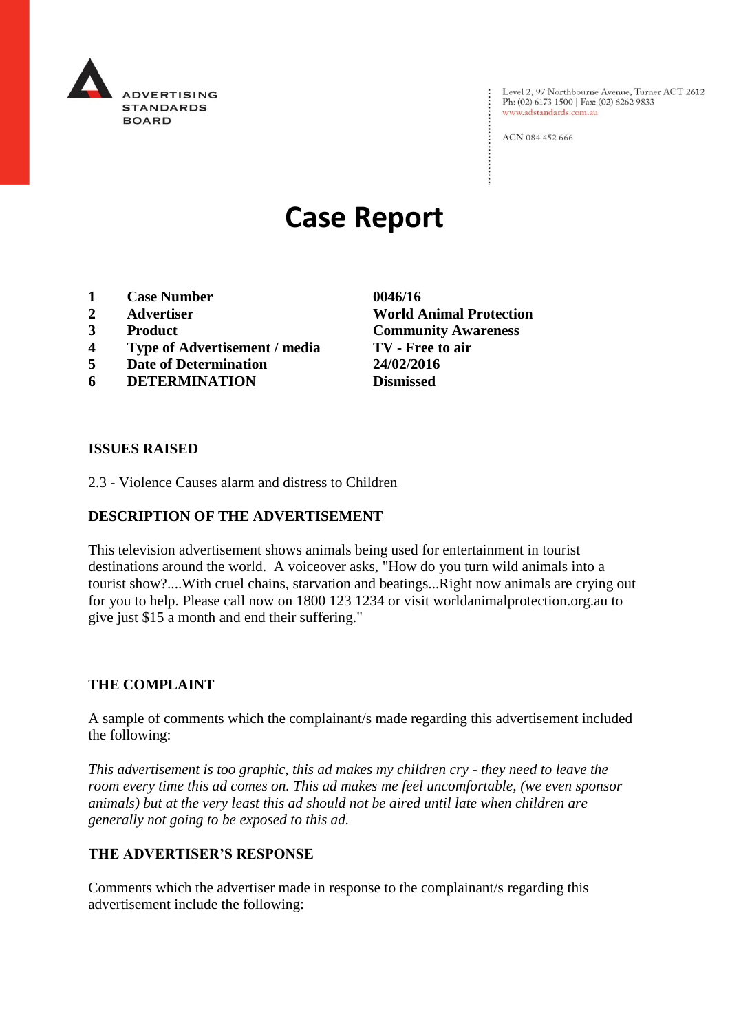

Level 2, 97 Northbourne Avenue, Turner ACT 2612<br>Ph: (02) 6173 1500 | Fax: (02) 6262 9833 www.adstandards.com.au

ACN 084 452 666

# **Case Report**

- **1 Case Number 0046/16**
- **2 Advertiser World Animal Protection**
- **3 Product Community Awareness**
- **4 Type of Advertisement / media TV - Free to air**
- **5 Date of Determination 24/02/2016**
- **6 DETERMINATION Dismissed**

**ISSUES RAISED**

2.3 - Violence Causes alarm and distress to Children

#### **DESCRIPTION OF THE ADVERTISEMENT**

This television advertisement shows animals being used for entertainment in tourist destinations around the world. A voiceover asks, "How do you turn wild animals into a tourist show?....With cruel chains, starvation and beatings...Right now animals are crying out for you to help. Please call now on 1800 123 1234 or visit worldanimalprotection.org.au to give just \$15 a month and end their suffering."

#### **THE COMPLAINT**

A sample of comments which the complainant/s made regarding this advertisement included the following:

*This advertisement is too graphic, this ad makes my children cry - they need to leave the room every time this ad comes on. This ad makes me feel uncomfortable, (we even sponsor animals) but at the very least this ad should not be aired until late when children are generally not going to be exposed to this ad.*

#### **THE ADVERTISER'S RESPONSE**

Comments which the advertiser made in response to the complainant/s regarding this advertisement include the following: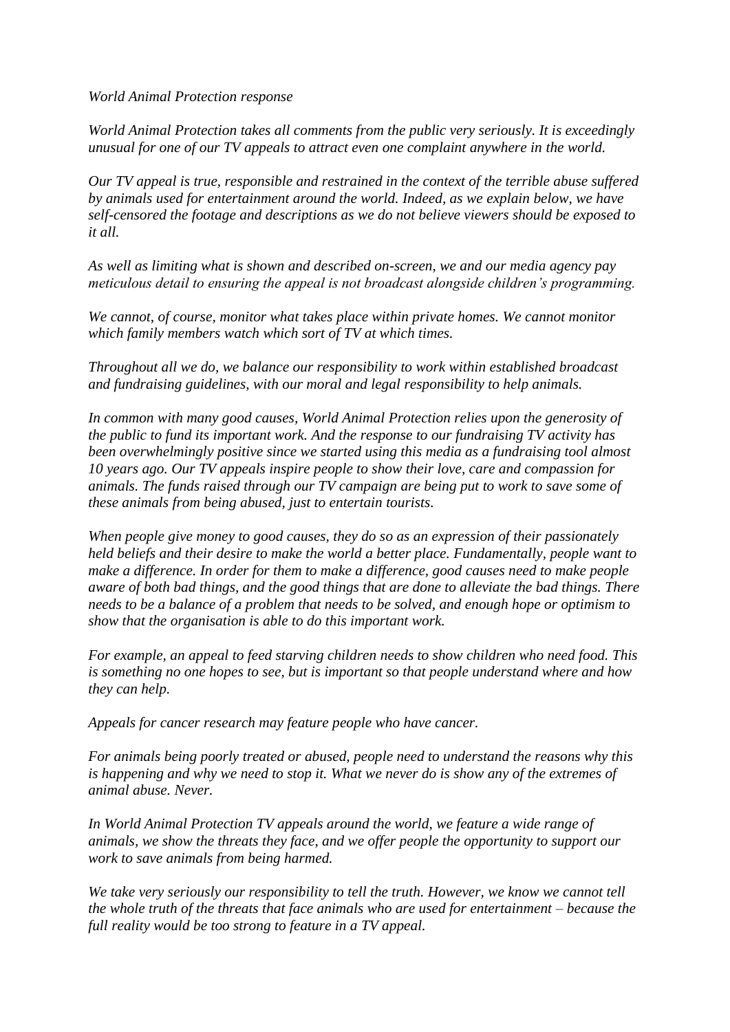*World Animal Protection response*

*World Animal Protection takes all comments from the public very seriously. It is exceedingly unusual for one of our TV appeals to attract even one complaint anywhere in the world.*

*Our TV appeal is true, responsible and restrained in the context of the terrible abuse suffered by animals used for entertainment around the world. Indeed, as we explain below, we have self-censored the footage and descriptions as we do not believe viewers should be exposed to it all.*

*As well as limiting what is shown and described on-screen, we and our media agency pay meticulous detail to ensuring the appeal is not broadcast alongside children's programming.*

*We cannot, of course, monitor what takes place within private homes. We cannot monitor which family members watch which sort of TV at which times.*

*Throughout all we do, we balance our responsibility to work within established broadcast and fundraising guidelines, with our moral and legal responsibility to help animals.*

*In common with many good causes, World Animal Protection relies upon the generosity of the public to fund its important work. And the response to our fundraising TV activity has been overwhelmingly positive since we started using this media as a fundraising tool almost 10 years ago. Our TV appeals inspire people to show their love, care and compassion for animals. The funds raised through our TV campaign are being put to work to save some of these animals from being abused, just to entertain tourists.*

*When people give money to good causes, they do so as an expression of their passionately held beliefs and their desire to make the world a better place. Fundamentally, people want to make a difference. In order for them to make a difference, good causes need to make people aware of both bad things, and the good things that are done to alleviate the bad things. There needs to be a balance of a problem that needs to be solved, and enough hope or optimism to show that the organisation is able to do this important work.*

*For example, an appeal to feed starving children needs to show children who need food. This is something no one hopes to see, but is important so that people understand where and how they can help.*

*Appeals for cancer research may feature people who have cancer.*

*For animals being poorly treated or abused, people need to understand the reasons why this is happening and why we need to stop it. What we never do is show any of the extremes of animal abuse. Never.*

*In World Animal Protection TV appeals around the world, we feature a wide range of animals, we show the threats they face, and we offer people the opportunity to support our work to save animals from being harmed.*

*We take very seriously our responsibility to tell the truth. However, we know we cannot tell the whole truth of the threats that face animals who are used for entertainment – because the full reality would be too strong to feature in a TV appeal.*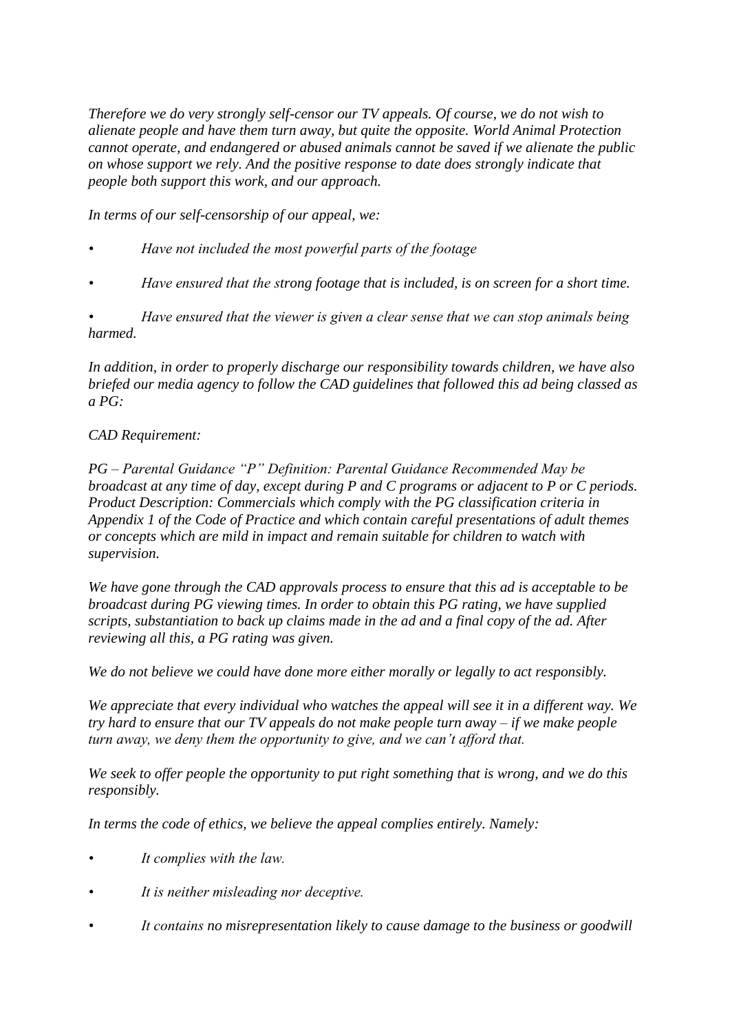*Therefore we do very strongly self-censor our TV appeals. Of course, we do not wish to alienate people and have them turn away, but quite the opposite. World Animal Protection cannot operate, and endangered or abused animals cannot be saved if we alienate the public on whose support we rely. And the positive response to date does strongly indicate that people both support this work, and our approach.*

*In terms of our self-censorship of our appeal, we:*

- *Have not included the most powerful parts of the footage*
- *Have ensured that the strong footage that is included, is on screen for a short time.*

*• Have ensured that the viewer is given a clear sense that we can stop animals being harmed.*

*In addition, in order to properly discharge our responsibility towards children, we have also briefed our media agency to follow the CAD guidelines that followed this ad being classed as a PG:*

### *CAD Requirement:*

*PG – Parental Guidance "P" Definition: Parental Guidance Recommended May be broadcast at any time of day, except during P and C programs or adjacent to P or C periods. Product Description: Commercials which comply with the PG classification criteria in Appendix 1 of the Code of Practice and which contain careful presentations of adult themes or concepts which are mild in impact and remain suitable for children to watch with supervision.*

*We have gone through the CAD approvals process to ensure that this ad is acceptable to be broadcast during PG viewing times. In order to obtain this PG rating, we have supplied scripts, substantiation to back up claims made in the ad and a final copy of the ad. After reviewing all this, a PG rating was given.* 

*We do not believe we could have done more either morally or legally to act responsibly.*

*We appreciate that every individual who watches the appeal will see it in a different way. We try hard to ensure that our TV appeals do not make people turn away – if we make people turn away, we deny them the opportunity to give, and we can't afford that.*

*We seek to offer people the opportunity to put right something that is wrong, and we do this responsibly.*

*In terms the code of ethics, we believe the appeal complies entirely. Namely:*

- *It complies with the law.*
- *It is neither misleading nor deceptive.*
- *It contains no misrepresentation likely to cause damage to the business or goodwill*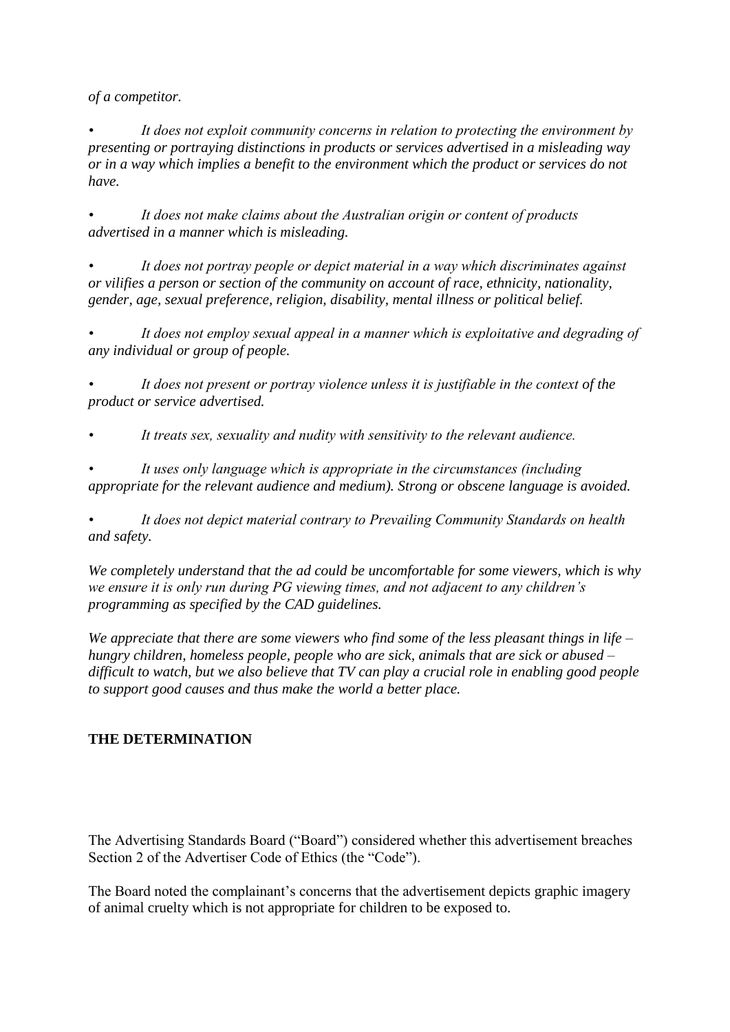*of a competitor.*

*• It does not exploit community concerns in relation to protecting the environment by presenting or portraying distinctions in products or services advertised in a misleading way or in a way which implies a benefit to the environment which the product or services do not have.*

*• It does not make claims about the Australian origin or content of products advertised in a manner which is misleading.*

*• It does not portray people or depict material in a way which discriminates against or vilifies a person or section of the community on account of race, ethnicity, nationality, gender, age, sexual preference, religion, disability, mental illness or political belief.*

*• It does not employ sexual appeal in a manner which is exploitative and degrading of any individual or group of people.* 

*• It does not present or portray violence unless it is justifiable in the context of the product or service advertised.*

*• It treats sex, sexuality and nudity with sensitivity to the relevant audience.*

*• It uses only language which is appropriate in the circumstances (including appropriate for the relevant audience and medium). Strong or obscene language is avoided.*

*• It does not depict material contrary to Prevailing Community Standards on health and safety.*

*We completely understand that the ad could be uncomfortable for some viewers, which is why we ensure it is only run during PG viewing times, and not adjacent to any children's programming as specified by the CAD guidelines.* 

*We appreciate that there are some viewers who find some of the less pleasant things in life – hungry children, homeless people, people who are sick, animals that are sick or abused – difficult to watch, but we also believe that TV can play a crucial role in enabling good people to support good causes and thus make the world a better place.* 

## **THE DETERMINATION**

The Advertising Standards Board ("Board") considered whether this advertisement breaches Section 2 of the Advertiser Code of Ethics (the "Code").

The Board noted the complainant's concerns that the advertisement depicts graphic imagery of animal cruelty which is not appropriate for children to be exposed to.